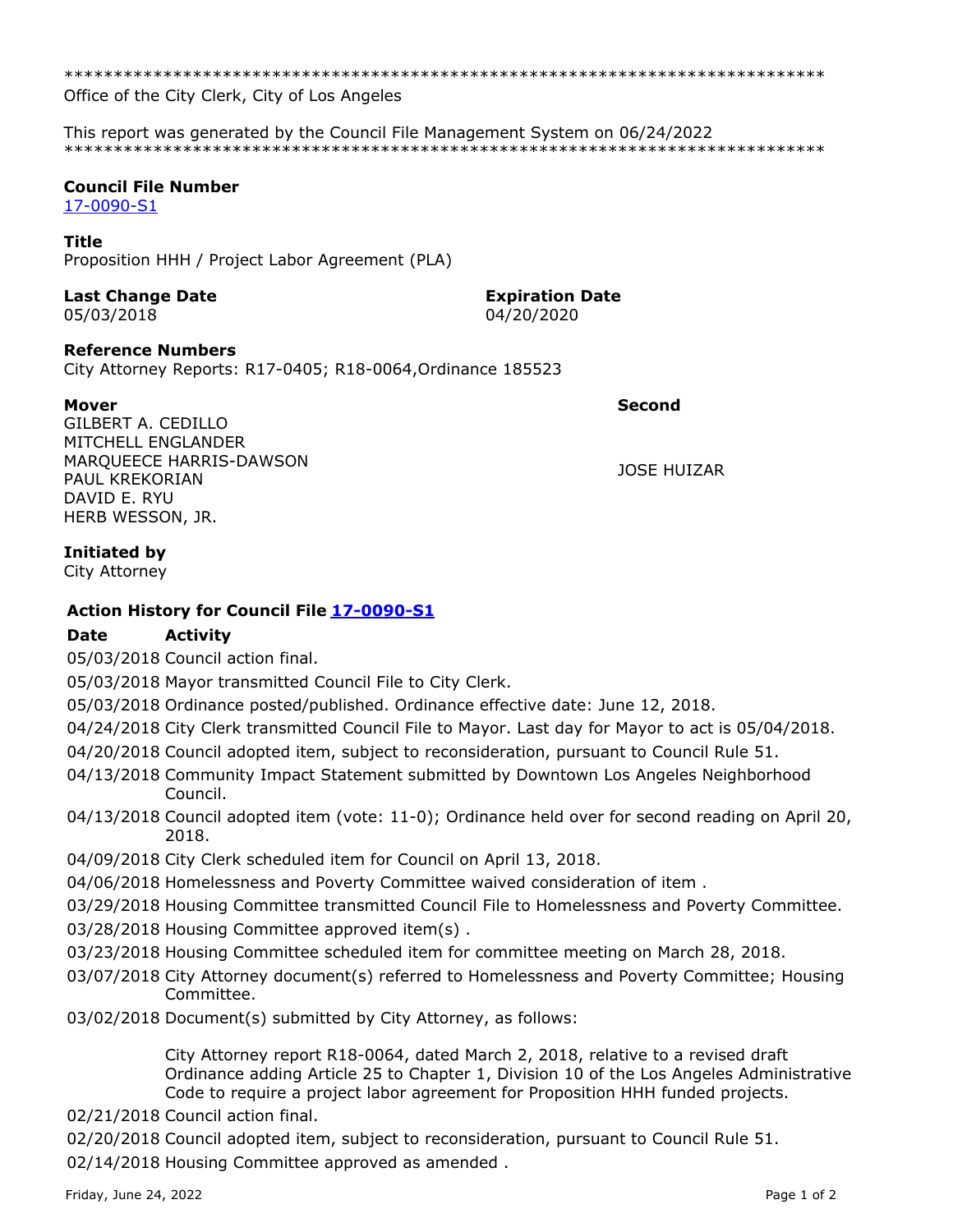\*\*\*\*\*\*\*\*\*\*\*\*\*\*\*\*\*\*\*\*\*\*\*\*\*\*\*\*\*\*\*\*\*\*\*\*\*\*\*\*\*\*\*\*\*\*\*\*\*\*\*\*\*\*\*\*\*\*\*\*\*\*\*\*\*\*\*\*\*\*\*\*\*\*\*\*\*

Office of the City Clerk, City of Los Angeles

This report was generated by the Council File Management System on 06/24/2022 \*\*\*\*\*\*\*\*\*\*\*\*\*\*\*\*\*\*\*\*\*\*\*\*\*\*\*\*\*\*\*\*\*\*\*\*\*\*\*\*\*\*\*\*\*\*\*\*\*\*\*\*\*\*\*\*\*\*\*\*\*\*\*\*\*\*\*\*\*\*\*\*\*\*\*\*\*

### **Council File Number**

[17-0090-S1](https://cityclerk.lacity.org/lacityclerkconnect/index.cfm?fa=ccfi.viewrecord&cfnumber=17-0090-S1)

#### **Title**

Proposition HHH / Project Labor Agreement (PLA)

# **Last Change Date Expiration Date**

05/03/2018 04/20/2020

### **Reference Numbers**

City Attorney Reports: R17-0405; R18-0064,Ordinance 185523

**Mover Second**

GILBERT A. CEDILLO MITCHELL ENGLANDER MARQUEECE HARRIS-DAWSON PAUL KREKORIAN DAVID E. RYU HERB WESSON, JR.

JOSE HUIZAR

### **Initiated by**

City Attorney

## **Action History for Council File [17-0090-S1](https://cityclerk.lacity.org/lacityclerkconnect/index.cfm?fa=ccfi.viewrecord&cfnumber=17-0090-S1)**

### **Date Activity**

05/03/2018 Council action final.

05/03/2018 Mayor transmitted Council File to City Clerk.

05/03/2018 Ordinance posted/published. Ordinance effective date: June 12, 2018.

- 04/24/2018 City Clerk transmitted Council File to Mayor. Last day for Mayor to act is 05/04/2018.
- 04/20/2018 Council adopted item, subject to reconsideration, pursuant to Council Rule 51.
- 04/13/2018 Community Impact Statement submitted by Downtown Los Angeles Neighborhood Council.
- 04/13/2018 Council adopted item (vote: 11-0); Ordinance held over for second reading on April 20, 2018.
- 04/09/2018 City Clerk scheduled item for Council on April 13, 2018.

04/06/2018 Homelessness and Poverty Committee waived consideration of item .

- 03/29/2018 Housing Committee transmitted Council File to Homelessness and Poverty Committee.
- 03/28/2018 Housing Committee approved item(s) .
- 03/23/2018 Housing Committee scheduled item for committee meeting on March 28, 2018.
- 03/07/2018 City Attorney document(s) referred to Homelessness and Poverty Committee; Housing Committee.
- 03/02/2018 Document(s) submitted by City Attorney, as follows:

City Attorney report R18-0064, dated March 2, 2018, relative to a revised draft Ordinance adding Article 25 to Chapter 1, Division 10 of the Los Angeles Administrative Code to require a project labor agreement for Proposition HHH funded projects.

02/21/2018 Council action final.

02/20/2018 Council adopted item, subject to reconsideration, pursuant to Council Rule 51. 02/14/2018 Housing Committee approved as amended .